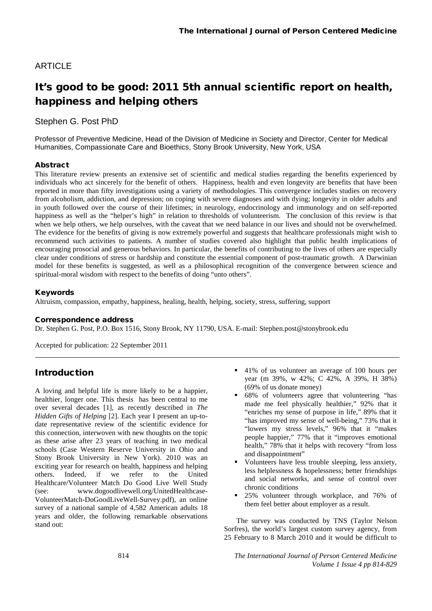## **ARTICLE**

# It's good to be good: 2011 5th annual scientific report on health, happiness and helping others

Stephen G. Post PhD

Professor of Preventive Medicine, Head of the Division of Medicine in Society and Director, Center for Medical Humanities, Compassionate Care and Bioethics, Stony Brook University, New York, USA

#### Abstract

This literature review presents an extensive set of scientific and medical studies regarding the benefits experienced by individuals who act sincerely for the benefit of others. Happiness, health and even longevity are benefits that have been reported in more than fifty investigations using a variety of methodologies. This convergence includes studies on recovery from alcoholism, addiction, and depression; on coping with severe diagnoses and with dying; longevity in older adults and in youth followed over the course of their lifetimes; in neurology, endocrinology and immunology and on self-reported happiness as well as the "helper's high" in relation to thresholds of volunteerism. The conclusion of this review is that when we help others, we help ourselves, with the caveat that we need balance in our lives and should not be overwhelmed. The evidence for the benefits of giving is now extremely powerful and suggests that healthcare professionals might wish to recommend such activities to patients. A number of studies covered also highlight that public health implications of encouraging prosocial and generous behaviors. In particular, the benefits of contributing to the lives of others are especially clear under conditions of stress or hardship and constitute the essential component of post-traumatic growth. A Darwinian model for these benefits is suggested, as well as a philosophical recognition of the convergence between science and spiritual-moral wisdom with respect to the benefits of doing "unto others".

#### Keywords

Altruism, compassion, empathy, happiness, healing, health, helping, society, stress, suffering, support

#### Correspondence address

Dr. Stephen G. Post, P.O. Box 1516, Stony Brook, NY 11790, USA. E-mail[: Stephen.post@stonybrook.edu](mailto:Stephen.post@stonybrook.edu)

Accepted for publication: 22 September 2011

### Introduction

A loving and helpful life is more likely to be a happier, healthier, longer one. This thesis has been central to me over several decades [1], as recently described in *The Hidden Gifts of Helping* [2]. Each year I present an up-todate representative review of the scientific evidence for this connection, interwoven with new thoughts on the topic as these arise after 23 years of teaching in two medical schools (Case Western Reserve University in Ohio and Stony Brook University in New York). 2010 was an exciting year for research on health, happiness and helping others. Indeed, if we refer to the United Healthcare/Volunteer Match Do Good Live Well Study (see: [www.dogoodlivewell.org/UnitedHealthcase-](http://www.dogoodlivewell.org/UnitedHealthcase-VolunteerMatch-DoGoodLiveWell-Survey.pdf)[VolunteerMatch-DoGoodLiveWell-Survey.pdf\)](http://www.dogoodlivewell.org/UnitedHealthcase-VolunteerMatch-DoGoodLiveWell-Survey.pdf), an online survey of a national sample of 4,582 American adults 18 years and older, the following remarkable observations stand out:

- 41% of us volunteer an average of 100 hours per year (m 39%, w 42%; C 42%, A 39%, H 38%) (69% of us donate money)
- 68% of volunteers agree that volunteering "has made me feel physically healthier," 92% that it "enriches my sense of purpose in life," 89% that it "has improved my sense of well-being," 73% that it "lowers my stress levels," 96% that it "makes people happier," 77% that it "improves emotional health," 78% that it helps with recovery "from loss and disappointment"
- Volunteers have less trouble sleeping, less anxiety, less helplessness & hopelessness; better friendships and social networks, and sense of control over chronic conditions
- 25% volunteer through workplace, and 76% of them feel better about employer as a result.

The survey was conducted by TNS (Taylor Nelson Sorfres), the world's largest custom survey agency, from 25 February to 8 March 2010 and it would be difficult to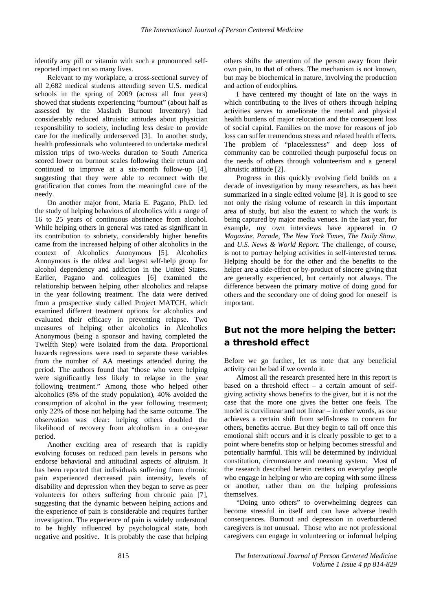identify any pill or vitamin with such a pronounced selfreported impact on so many lives.

Relevant to my workplace, a cross-sectional survey of all 2,682 medical students attending seven U.S. medical schools in the spring of 2009 (across all four years) showed that students experiencing "burnout" (about half as assessed by the Maslach Burnout Inventory) had considerably reduced altruistic attitudes about physician responsibility to society, including less desire to provide care for the medically underserved [3]. In another study, health professionals who volunteered to undertake medical mission trips of two-weeks duration to South America scored lower on burnout scales following their return and continued to improve at a six-month follow-up [4], suggesting that they were able to reconnect with the gratification that comes from the meaningful care of the needy.

On another major front, Maria E. Pagano, Ph.D. led the study of helping behaviors of alcoholics with a range of 16 to 25 years of continuous abstinence from alcohol. While helping others in general was rated as significant in its contribution to sobriety, considerably higher benefits came from the increased helping of other alcoholics in the context of Alcoholics Anonymous [5]. Alcoholics Anonymous is the oldest and largest self-help group for alcohol dependency and addiction in the United States. Earlier, Pagano and colleagues [6] examined the relationship between helping other alcoholics and relapse in the year following treatment. The data were derived from a prospective study called Project MATCH, which examined different treatment options for alcoholics and evaluated their efficacy in preventing relapse. Two measures of helping other alcoholics in Alcoholics Anonymous (being a sponsor and having completed the Twelfth Step) were isolated from the data. Proportional hazards regressions were used to separate these variables from the number of AA meetings attended during the period. The authors found that "those who were helping were significantly less likely to relapse in the year following treatment." Among those who helped other alcoholics (8% of the study population), 40% avoided the consumption of alcohol in the year following treatment; only 22% of those not helping had the same outcome. The observation was clear: helping others doubled the likelihood of recovery from alcoholism in a one-year period.

Another exciting area of research that is rapidly evolving focuses on reduced pain levels in persons who endorse behavioral and attitudinal aspects of altruism. It has been reported that individuals suffering from chronic pain experienced decreased pain intensity, levels of disability and depression when they began to serve as peer volunteers for others suffering from chronic pain [7], suggesting that the dynamic between helping actions and the experience of pain is considerable and requires further investigation. The experience of pain is widely understood to be highly influenced by psychological state, both negative and positive. It is probably the case that helping others shifts the attention of the person away from their own pain, to that of others. The mechanism is not known, but may be biochemical in nature, involving the production and action of endorphins.

I have centered my thought of late on the ways in which contributing to the lives of others through helping activities serves to ameliorate the mental and physical health burdens of major relocation and the consequent loss of social capital. Families on the move for reasons of job loss can suffer tremendous stress and related health effects. The problem of "placelessness" and deep loss of community can be controlled though purposeful focus on the needs of others through volunteerism and a general altruistic attitude [2].

Progress in this quickly evolving field builds on a decade of investigation by many researchers, as has been summarized in a single edited volume [8]. It is good to see not only the rising volume of research in this important area of study, but also the extent to which the work is being captured by major media venues. In the last year, for example, my own interviews have appeared in *O Magazine, Parade, The New York Times, The Daily Show,*  and *U.S. News & World Report.* The challenge, of course, is not to portray helping activities in self-interested terms. Helping should be for the other and the benefits to the helper are a side-effect or by-product of sincere giving that are generally experienced, but certainly not always. The difference between the primary motive of doing good for others and the secondary one of doing good for oneself is important.

## But not the more helping the better: a threshold effect

Before we go further, let us note that any beneficial activity can be bad if we overdo it.

Almost all the research presented here in this report is based on a threshold effect – a certain amount of selfgiving activity shows benefits to the giver, but it is not the case that the more one gives the better one feels. The model is curvilinear and not linear – in other words, as one achieves a certain shift from selfishness to concern for others, benefits accrue. But they begin to tail off once this emotional shift occurs and it is clearly possible to get to a point where benefits stop or helping becomes stressful and potentially harmful. This will be determined by individual constitution, circumstance and meaning system. Most of the research described herein centers on everyday people who engage in helping or who are coping with some illness or another, rather than on the helping professions themselves.

"Doing unto others" to overwhelming degrees can become stressful in itself and can have adverse health consequences. Burnout and depression in overburdened caregivers is not unusual. Those who are not professional caregivers can engage in volunteering or informal helping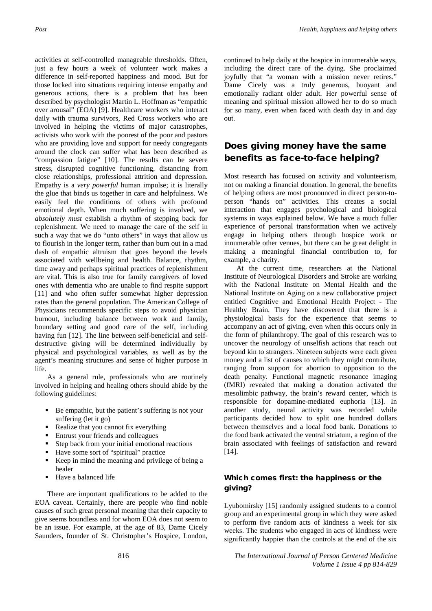activities at self-controlled manageable thresholds. Often, just a few hours a week of volunteer work makes a difference in self-reported happiness and mood. But for those locked into situations requiring intense empathy and generous actions, there is a problem that has been described by psychologist Martin L. Hoffman as "empathic over arousal" (EOA) [9]. Healthcare workers who interact daily with trauma survivors, Red Cross workers who are involved in helping the victims of major catastrophes, activists who work with the poorest of the poor and pastors who are providing love and support for needy congregants around the clock can suffer what has been described as "compassion fatigue" [10]. The results can be severe stress, disrupted cognitive functioning, distancing from close relationships, professional attrition and depression. Empathy is a *very powerful* human impulse; it is literally the glue that binds us together in care and helpfulness. We easily feel the conditions of others with profound emotional depth. When much suffering is involved, we *absolutely must* establish a rhythm of stepping back for replenishment. We need to manage the care of the self in such a way that we do "unto others" in ways that allow us to flourish in the longer term, rather than burn out in a mad dash of empathic altruism that goes beyond the levels associated with wellbeing and health. Balance, rhythm, time away and perhaps spiritual practices of replenishment are vital. This is also true for family caregivers of loved ones with dementia who are unable to find respite support [11] and who often suffer somewhat higher depression rates than the general population. The American College of Physicians recommends specific steps to avoid physician burnout, including balance between work and family, boundary setting and good care of the self, including having fun [12]. The line between self-beneficial and selfdestructive giving will be determined individually by physical and psychological variables, as well as by the agent's meaning structures and sense of higher purpose in life.

As a general rule, professionals who are routinely involved in helping and healing others should abide by the following guidelines:

- Be empathic, but the patient's suffering is not your suffering (let it go)
- Realize that you cannot fix everything
- Entrust your friends and colleagues
- Step back from your initial emotional reactions
- Have some sort of "spiritual" practice
- Keep in mind the meaning and privilege of being a healer
- Have a balanced life

There are important qualifications to be added to the EOA caveat. Certainly, there are people who find noble causes of such great personal meaning that their capacity to give seems boundless and for whom EOA does not seem to be an issue. For example, at the age of 83, Dame Cicely Saunders, founder of St. Christopher's Hospice, London,

continued to help daily at the hospice in innumerable ways, including the direct care of the dying. She proclaimed joyfully that "a woman with a mission never retires." Dame Cicely was a truly generous, buoyant and emotionally radiant older adult. Her powerful sense of meaning and spiritual mission allowed her to do so much for so many, even when faced with death day in and day out.

## Does giving money have the same benefits as face-to-face helping?

Most research has focused on activity and volunteerism, not on making a financial donation. In general, the benefits of helping others are most pronounced in direct person-toperson "hands on" activities. This creates a social interaction that engages psychological and biological systems in ways explained below. We have a much fuller experience of personal transformation when we actively engage in helping others through hospice work or innumerable other venues, but there can be great delight in making a meaningful financial contribution to, for example, a charity.

At the current time, researchers at the National Institute of Neurological Disorders and Stroke are working with the National Institute on Mental Health and the National Institute on Aging on a new collaborative project entitled Cognitive and Emotional Health Project - The Healthy Brain. They have discovered that there is a physiological basis for the experience that seems to accompany an act of giving, even when this occurs only in the form of philanthropy. The goal of this research was to uncover the neurology of unselfish actions that reach out beyond kin to strangers. Nineteen subjects were each given money and a list of causes to which they might contribute, ranging from support for abortion to opposition to the death penalty. Functional magnetic resonance imaging (fMRI) revealed that making a donation activated the mesolimbic pathway, the brain's reward center, which is responsible for dopamine-mediated euphoria [13]. In another study, neural activity was recorded while participants decided how to split one hundred dollars between themselves and a local food bank. Donations to the food bank activated the ventral striatum, a region of the brain associated with feelings of satisfaction and reward [14].

## Which comes first: the happiness or the giving?

Lyubomirsky [15] randomly assigned students to a control group and an experimental group in which they were asked to perform five random acts of kindness a week for six weeks. The students who engaged in acts of kindness were significantly happier than the controls at the end of the six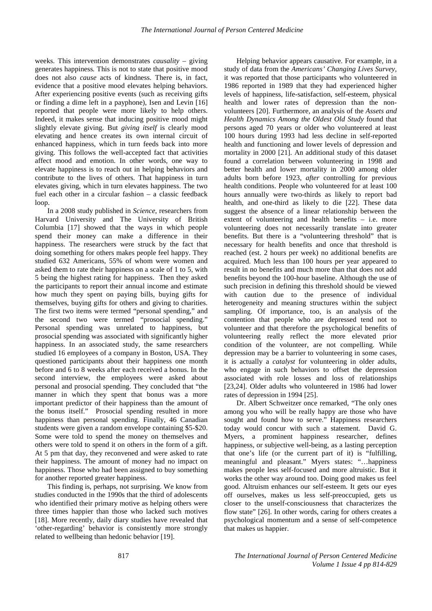weeks. This intervention demonstrates *causality –* giving generates happiness*.* This is not to state that positive mood does not also *cause* acts of kindness. There is, in fact, evidence that a positive mood elevates helping behaviors. After experiencing positive events (such as receiving gifts) or finding a dime left in a payphone), Isen and Levin [16] reported that people were more likely to help others. Indeed, it makes sense that inducing positive mood might slightly elevate giving. But *giving itself* is clearly mood elevating and hence creates its own internal circuit of enhanced happiness, which in turn feeds back into more giving. This follows the well-accepted fact that activities affect mood and emotion. In other words, one way to elevate happiness is to reach out in helping behaviors and contribute to the lives of others. That happiness in turn elevates giving, which in turn elevates happiness. The two fuel each other in a circular fashion – a classic feedback loop.

In a 2008 study published in *Science*, researchers from Harvard University and The University of British Columbia [17] showed that the ways in which people spend their money can make a difference in their happiness. The researchers were struck by the fact that doing something for others makes people feel happy. They studied 632 Americans, 55% of whom were women and asked them to rate their happiness on a scale of 1 to 5, with 5 being the highest rating for happiness. Then they asked the participants to report their annual income and estimate how much they spent on paying bills, buying gifts for themselves, buying gifts for others and giving to charities. The first two items were termed "personal spending," and the second two were termed "prosocial spending." Personal spending was unrelated to happiness, but prosocial spending was associated with significantly higher happiness. In an associated study, the same researchers studied 16 employees of a company in Boston, USA. They questioned participants about their happiness one month before and 6 to 8 weeks after each received a bonus. In the second interview, the employees were asked about personal and prosocial spending. They concluded that "the manner in which they spent that bonus was a more important predictor of their happiness than the amount of the bonus itself." Prosocial spending resulted in more happiness than personal spending. Finally, 46 Canadian students were given a random envelope containing \$5-\$20. Some were told to spend the money on themselves and others were told to spend it on others in the form of a gift. At 5 pm that day, they reconvened and were asked to rate their happiness. The amount of money had no impact on happiness. Those who had been assigned to buy something for another reported greater happiness.

This finding is, perhaps, not surprising. We know from studies conducted in the 1990s that the third of adolescents who identified their primary motive as helping others were three times happier than those who lacked such motives [18]. More recently, daily diary studies have revealed that 'other-regarding' behavior is consistently more strongly related to wellbeing than hedonic behavior [19].

Helping behavior appears causative. For example, in a study of data from the *Americans' Changing Lives Survey,* it was reported that those participants who volunteered in 1986 reported in 1989 that they had experienced higher levels of happiness, life-satisfaction, self-esteem, physical health and lower rates of depression than the nonvolunteers [20]. Furthermore, an analysis of the *Assets and Health Dynamics Among the Oldest Old Study* found that persons aged 70 years or older who volunteered at least 100 hours during 1993 had less decline in self-reported health and functioning and lower levels of depression and mortality in 2000 [21]. An additional study of this dataset found a correlation between volunteering in 1998 and better health and lower mortality in 2000 among older adults born before 1923, *after* controlling for previous health conditions. People who volunteered for at least 100 hours annually were two-thirds as likely to report bad health, and one-third as likely to die [22]. These data suggest the absence of a linear relationship between the extent of volunteering and health benefits – i.e. more volunteering does not necessarily translate into greater benefits. But there is a "volunteering threshold" that is necessary for health benefits and once that threshold is reached (est. 2 hours per week) no additional benefits are acquired. Much less than 100 hours per year appeared to result in no benefits and much more than that does not add benefits beyond the 100-hour baseline. Although the use of such precision in defining this threshold should be viewed with caution due to the presence of individual heterogeneity and meaning structures within the subject sampling. Of importance, too, is an analysis of the contention that people who are depressed tend not to volunteer and that therefore the psychological benefits of volunteering really reflect the more elevated prior condition of the volunteer, are not compelling. While depression may be a barrier to volunteering in some cases, it is actually a *catalyst* for volunteering in older adults, who engage in such behaviors to offset the depression associated with role losses and loss of relationships [23,24]. Older adults who volunteered in 1986 had lower rates of depression in 1994 [25].

Dr. Albert Schweitzer once remarked, "The only ones among you who will be really happy are those who have sought and found how to serve." Happiness researchers today would concur with such a statement. David G. Myers, a prominent happiness researcher, defines happiness, or subjective well-being, as a lasting perception that one's life (or the current part of it) is "fulfilling, meaningful and pleasant." Myers states: "…happiness makes people less self-focused and more altruistic. But it works the other way around too. Doing good makes us feel good. Altruism enhances our self-esteem. It gets our eyes off ourselves, makes us less self-preoccupied, gets us closer to the unself-consciousness that characterizes the flow state" [26]. In other words, caring for others creates a psychological momentum and a sense of self-competence that makes us happier.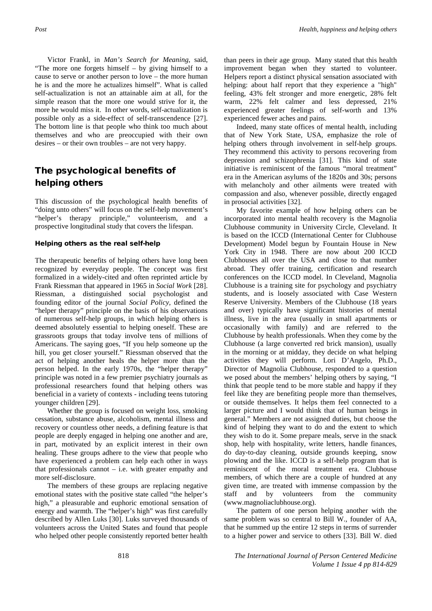Victor Frankl, in *Man's Search for Meaning*, said, "The more one forgets himself – by giving himself to a cause to serve or another person to love – the more human he is and the more he actualizes himself". What is called self-actualization is not an attainable aim at all, for the simple reason that the more one would strive for it, the more he would miss it. In other words, self-actualization is possible only as a side-effect of self-transcendence [27]. The bottom line is that people who think too much about themselves and who are preoccupied with their own desires – or their own troubles – are not very happy.

## The psychological benefits of helping others

This discussion of the psychological health benefits of "doing unto others" will focus on the self-help movement's "helper's therapy principle," volunteerism, and a prospective longitudinal study that covers the lifespan.

#### Helping others as the real self-help

The therapeutic benefits of helping others have long been recognized by everyday people. The concept was first formalized in a widely-cited and often reprinted article by Frank Riessman that appeared in 1965 in *Social Work* [28]. Riessman, a distinguished social psychologist and founding editor of the journal *Social Policy,* defined the "helper therapy" principle on the basis of his observations of numerous self-help groups, in which helping others is deemed absolutely essential to helping oneself. These are grassroots groups that today involve tens of millions of Americans. The saying goes, "If you help someone up the hill, you get closer yourself." Riessman observed that the act of helping another heals the helper more than the person helped. In the early 1970s, the "helper therapy" principle was noted in a few premier psychiatry journals as professional researchers found that helping others was beneficial in a variety of contexts - including teens tutoring younger children [29].

Whether the group is focused on weight loss, smoking cessation, substance abuse, alcoholism, mental illness and recovery or countless other needs, a defining feature is that people are deeply engaged in helping one another and are, in part, motivated by an explicit interest in their own healing. These groups adhere to the view that people who have experienced a problem can help each other in ways that professionals cannot  $-$  i.e. with greater empathy and more self-disclosure.

The members of these groups are replacing negative emotional states with the positive state called "the helper's high," a pleasurable and euphoric emotional sensation of energy and warmth. The "helper's high" was first carefully described by Allen Luks [30]. Luks surveyed thousands of volunteers across the United States and found that people who helped other people consistently reported better health

than peers in their age group. Many stated that this health improvement began when they started to volunteer. Helpers report a distinct physical sensation associated with helping: about half report that they experience a "high" feeling, 43% felt stronger and more energetic, 28% felt warm, 22% felt calmer and less depressed, 21% experienced greater feelings of self-worth and 13% experienced fewer aches and pains.

Indeed, many state offices of mental health, including that of New York State, USA, emphasize the role of helping others through involvement in self-help groups. They recommend this activity to persons recovering from depression and schizophrenia [31]. This kind of state initiative is reminiscent of the famous "moral treatment" era in the American asylums of the 1820s and 30s; persons with melancholy and other ailments were treated with compassion and also, whenever possible, directly engaged in prosocial activities [32].

My favorite example of how helping others can be incorporated into mental health recovery is the Magnolia Clubhouse community in University Circle, Cleveland. It is based on the ICCD (International Center for Clubhouse Development) Model begun by Fountain House in New York City in 1948. There are now about 200 ICCD Clubhouses all over the USA and close to that number abroad. They offer training, certification and research conferences on the ICCD model. In Cleveland, Magnolia Clubhouse is a training site for psychology and psychiatry students, and is loosely associated with Case Western Reserve University. Members of the Clubhouse (18 years and over) typically have significant histories of mental illness, live in the area (usually in small apartments or occasionally with family) and are referred to the Clubhouse by health professionals. When they come by the Clubhouse (a large converted red brick mansion), usually in the morning or at midday, they decide on what helping activities they will perform. Lori D'Angelo, Ph.D., Director of Magnolia Clubhouse, responded to a question we posed about the members' helping others by saying, "I think that people tend to be more stable and happy if they feel like they are benefiting people more than themselves, or outside themselves. It helps them feel connected to a larger picture and I would think that of human beings in general." Members are not assigned duties, but choose the kind of helping they want to do and the extent to which they wish to do it. Some prepare meals, serve in the snack shop, help with hospitality, write letters, handle finances, do day-to-day cleaning, outside grounds keeping, snow plowing and the like. ICCD is a self-help program that is reminiscent of the moral treatment era. Clubhouse members, of which there are a couple of hundred at any given time, are treated with immense compassion by the staff and by volunteers from the community (www.magnoliaclubhouse.org).

The pattern of one person helping another with the same problem was so central to Bill W., founder of AA, that he summed up the entire 12 steps in terms of surrender to a higher power and service to others [33]. Bill W. died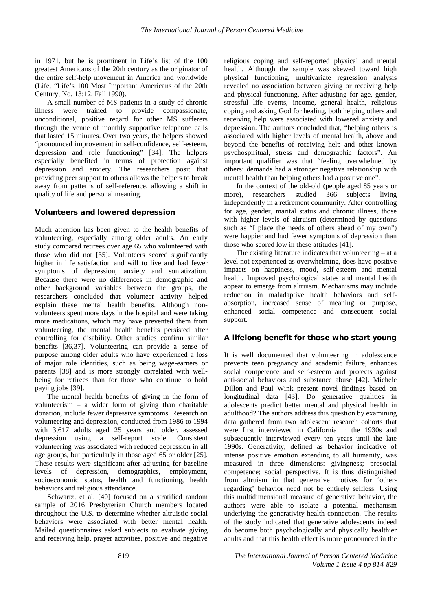in 1971, but he is prominent in Life's list of the 100 greatest Americans of the 20th century as the originator of the entire self-help movement in America and worldwide (Life, "Life's 100 Most Important Americans of the 20th Century, No. 13:12, Fall 1990).

A small number of MS patients in a study of chronic illness were trained to provide compassionate, unconditional, positive regard for other MS sufferers through the venue of monthly supportive telephone calls that lasted 15 minutes. Over two years, the helpers showed "pronounced improvement in self-confidence, self-esteem, depression and role functioning" [34]. The helpers especially benefited in terms of protection against depression and anxiety. The researchers posit that providing peer support to others allows the helpers to break away from patterns of self-reference, allowing a shift in quality of life and personal meaning.

### Volunteers and lowered depression

Much attention has been given to the health benefits of volunteering, especially among older adults. An early study compared retirees over age 65 who volunteered with those who did not [35]. Volunteers scored significantly higher in life satisfaction and will to live and had fewer symptoms of depression, anxiety and somatization. Because there were no differences in demographic and other background variables between the groups, the researchers concluded that volunteer activity helped explain these mental health benefits. Although nonvolunteers spent more days in the hospital and were taking more medications, which may have prevented them from volunteering, the mental health benefits persisted after controlling for disability. Other studies confirm similar benefits [36,37]. Volunteering can provide a sense of purpose among older adults who have experienced a loss of major role identities, such as being wage-earners or parents [38] and is more strongly correlated with wellbeing for retirees than for those who continue to hold paying jobs [39].

The mental health benefits of giving in the form of volunteerism – a wider form of giving than charitable donation, include fewer depressive symptoms. Research on volunteering and depression, conducted from 1986 to 1994 with 3,617 adults aged 25 years and older, assessed depression using a self-report scale. Consistent volunteering was associated with reduced depression in all age groups, but particularly in those aged 65 or older [25]. These results were significant after adjusting for baseline levels of depression, demographics, employment, socioeconomic status, health and functioning, health behaviors and religious attendance.

Schwartz, et al. [40] focused on a stratified random sample of 2016 Presbyterian Church members located throughout the U.S. to determine whether altruistic social behaviors were associated with better mental health. Mailed questionnaires asked subjects to evaluate giving and receiving help, prayer activities, positive and negative religious coping and self-reported physical and mental health. Although the sample was skewed toward high physical functioning, multivariate regression analysis revealed no association between giving or receiving help and physical functioning. After adjusting for age, gender, stressful life events, income, general health, religious coping and asking God for healing, both helping others and receiving help were associated with lowered anxiety and depression. The authors concluded that, "helping others is associated with higher levels of mental health, above and beyond the benefits of receiving help and other known psychospiritual, stress and demographic factors". An important qualifier was that "feeling overwhelmed by others' demands had a stronger negative relationship with mental health than helping others had a positive one".

In the context of the old-old (people aged 85 years or more), researchers studied 366 subjects living independently in a retirement community. After controlling for age, gender, marital status and chronic illness, those with higher levels of altruism (determined by questions such as "I place the needs of others ahead of my own") were happier and had fewer symptoms of depression than those who scored low in these attitudes [41].

The existing literature indicates that volunteering – at a level not experienced as overwhelming, does have positive impacts on happiness, mood, self-esteem and mental health. Improved psychological states and mental health appear to emerge from altruism. Mechanisms may include reduction in maladaptive health behaviors and selfabsorption, increased sense of meaning or purpose, enhanced social competence and consequent social support.

#### A lifelong benefit for those who start young

It is well documented that volunteering in adolescence prevents teen pregnancy and academic failure, enhances social competence and self-esteem and protects against anti-social behaviors and substance abuse [42]. Michele Dillon and Paul Wink present novel findings based on longitudinal data [43]. Do generative qualities in adolescents predict better mental and physical health in adulthood? The authors address this question by examining data gathered from two adolescent research cohorts that were first interviewed in California in the 1930s and subsequently interviewed every ten years until the late 1990s. Generativity, defined as behavior indicative of intense positive emotion extending to all humanity, was measured in three dimensions: givingness; prosocial competence; social perspective. It is thus distinguished from altruism in that generative motives for 'otherregarding' behavior need not be entirely selfless. Using this multidimensional measure of generative behavior, the authors were able to isolate a potential mechanism underlying the generativity-health connection. The results of the study indicated that generative adolescents indeed do become both psychologically and physically healthier adults and that this health effect is more pronounced in the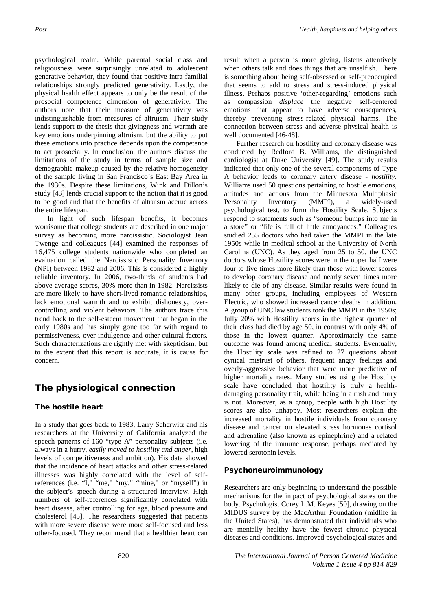psychological realm. While parental social class and religiousness were surprisingly unrelated to adolescent generative behavior, they found that positive intra-familial relationships strongly predicted generativity. Lastly, the physical health effect appears to only be the result of the prosocial competence dimension of generativity. The authors note that their measure of generativity was indistinguishable from measures of altruism. Their study lends support to the thesis that givingness and warmth are key emotions underpinning altruism, but the ability to put these emotions into practice depends upon the competence to act prosocially. In conclusion, the authors discuss the limitations of the study in terms of sample size and demographic makeup caused by the relative homogeneity of the sample living in San Francisco's East Bay Area in the 1930s. Despite these limitations, Wink and Dillon's study [43] lends crucial support to the notion that it is good to be good and that the benefits of altruism accrue across the entire lifespan.

In light of such lifespan benefits, it becomes worrisome that college students are described in one major survey as becoming more narcissistic. Sociologist Jean Twenge and colleagues [44] examined the responses of 16,475 college students nationwide who completed an evaluation called the Narcissistic Personality Inventory (NPI) between 1982 and 2006. This is considered a highly reliable inventory. In 2006, two-thirds of students had above-average scores, 30% more than in 1982. Narcissists are more likely to have short-lived romantic relationships, lack emotional warmth and to exhibit dishonesty, overcontrolling and violent behaviors. The authors trace this trend back to the self-esteem movement that began in the early 1980s and has simply gone too far with regard to permissiveness, over-indulgence and other cultural factors. Such characterizations are rightly met with skepticism, but to the extent that this report is accurate, it is cause for concern.

### The physiological connection

#### The hostile heart

In a study that goes back to 1983, Larry Scherwitz and his researchers at the University of California analyzed the speech patterns of 160 "type A" personality subjects (i.e. always in a hurry, *easily moved to hostility and anger*, high levels of competitiveness and ambition). His data showed that the incidence of heart attacks and other stress-related illnesses was highly correlated with the level of selfreferences (i.e. "I," "me," "my," "mine," or "myself") in the subject's speech during a structured interview. High numbers of self-references significantly correlated with heart disease, after controlling for age, blood pressure and cholesterol [45]. The researchers suggested that patients with more severe disease were more self-focused and less other-focused. They recommend that a healthier heart can

result when a person is more giving, listens attentively when others talk and does things that are unselfish. There is something about being self-obsessed or self-preoccupied that seems to add to stress and stress-induced physical illness. Perhaps positive 'other-regarding' emotions such as compassion *displace* the negative self-centered emotions that appear to have adverse consequences, thereby preventing stress-related physical harms. The connection between stress and adverse physical health is well documented [46-48].

Further research on hostility and coronary disease was conducted by Redford B. Williams, the distinguished cardiologist at Duke University [49]. The study results indicated that only one of the several components of Type A behavior leads to coronary artery disease - *hostility*. Williams used 50 questions pertaining to hostile emotions, attitudes and actions from the Minnesota Multiphasic Personality Inventory (MMPI), a widely-used psychological test, to form the Hostility Scale. Subjects respond to statements such as "someone bumps into me in a store" or "life is full of little annoyances." Colleagues studied 255 doctors who had taken the MMPI in the late 1950s while in medical school at the University of North Carolina (UNC). As they aged from 25 to 50, the UNC doctors whose Hostility scores were in the upper half were four to five times more likely than those with lower scores to develop coronary disease and nearly seven times more likely to die of any disease. Similar results were found in many other groups, including employees of Western Electric, who showed increased cancer deaths in addition. A group of UNC law students took the MMPI in the 1950s; fully 20% with Hostility scores in the highest quarter of their class had died by age 50, in contrast with only 4% of those in the lowest quarter. Approximately the same outcome was found among medical students. Eventually, the Hostility scale was refined to 27 questions about cynical mistrust of others, frequent angry feelings and overly-aggressive behavior that were more predictive of higher mortality rates. Many studies using the Hostility scale have concluded that hostility is truly a healthdamaging personality trait, while being in a rush and hurry is not. Moreover, as a group, people with high Hostility scores are also unhappy. Most researchers explain the increased mortality in hostile individuals from coronary disease and cancer on elevated stress hormones cortisol and adrenaline (also known as epinephrine) and a related lowering of the immune response, perhaps mediated by lowered serotonin levels.

#### Psychoneuroimmunology

Researchers are only beginning to understand the possible mechanisms for the impact of psychological states on the body. Psychologist Corey L.M. Keyes [50], drawing on the MIDUS survey by the MacArthur Foundation (midlife in the United States), has demonstrated that individuals who are mentally healthy have the fewest chronic physical diseases and conditions. Improved psychological states and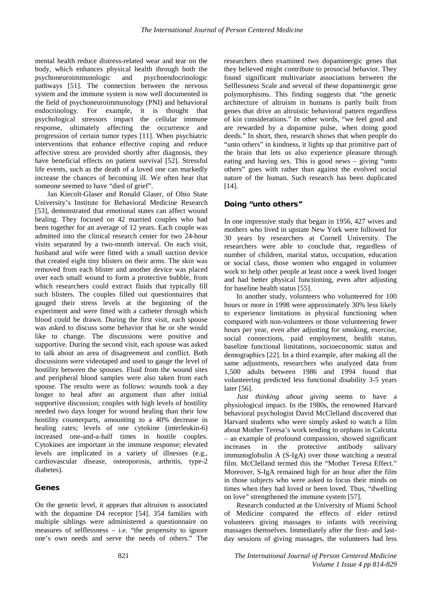mental health reduce distress-related wear and tear on the body, which enhances physical health through both the psychoneuroimmunologic and psychoendocrinologic pathways [51]. The connection between the nervous system and the immune system is now well documented in the field of psychoneuroimmunology (PNI) and behavioral endocrinology. For example, it is thought that psychological stressors impact the cellular immune response, ultimately affecting the occurrence and progression of certain tumor types [11]. When psychiatric interventions that enhance effective coping and reduce affective stress are provided shortly after diagnosis, they have beneficial effects on patient survival [52]. Stressful life events, such as the death of a loved one can markedly increase the chances of becoming ill. We often hear that someone seemed to have "died of grief".

Jan Kiecolt-Glaser and Ronald Glaser, of Ohio State University's Institute for Behavioral Medicine Research [53], demonstrated that emotional states can affect wound healing. They focused on 42 married couples who had been together for an average of 12 years. Each couple was admitted into the clinical research center for two 24-hour visits separated by a two-month interval. On each visit, husband and wife were fitted with a small suction device that created eight tiny blisters on their arms. The skin was removed from each blister and another device was placed over each small wound to form a protective bubble, from which researchers could extract fluids that typically fill such blisters. The couples filled out questionnaires that gauged their stress levels at the beginning of the experiment and were fitted with a catheter through which blood could be drawn. During the first visit, each spouse was asked to discuss some behavior that he or she would like to change. The discussions were positive and supportive. During the second visit, each spouse was asked to talk about an area of disagreement and conflict. Both discussions were videotaped and used to gauge the level of hostility between the spouses. Fluid from the wound sites and peripheral blood samples were also taken from each spouse. The results were as follows: wounds took a day longer to heal after an argument than after initial supportive discussion; couples with high levels of hostility needed two days longer for wound healing than their low hostility counterparts, amounting to a 40% decrease in healing rates; levels of one cytokine (interleukin-6) increased one-and-a-half times in hostile couples. Cytokines are important in the immune response; elevated levels are implicated in a variety of illnesses (e.g., cardiovascular disease, osteoporosis, arthritis, type-2 diabetes).

#### Genes

On the genetic level, it appears that altruism is associated with the dopamine D4 receptor [54]. 354 families with multiple siblings were administered a questionnaire on measures of selflessness – i.e. "the propensity to ignore one's own needs and serve the needs of others." The

researchers then examined two dopaminergic genes that they believed might contribute to prosocial behavior. They found significant multivariate associations between the Selflessness Scale and several of these dopaminergic gene polymorphisms. This finding suggests that "the genetic architecture of altruism in humans is partly built from genes that drive an altruistic behavioral pattern regardless of kin considerations." In other words, "we feel good and are rewarded by a dopamine pulse, when doing good deeds." In short, then, research shows that when people do "unto others" in kindness, it lights up that primitive part of the brain that lets us also experience pleasure through eating and having sex. This is good news – giving "unto others" goes with rather than against the evolved social nature of the human. Such research has been duplicated [14].

#### Doing "unto others"

In one impressive study that began in 1956, 427 wives and mothers who lived in upstate New York were followed for 30 years by researchers at Cornell University. The researchers were able to conclude that, regardless of number of children, marital status, occupation, education or social class, those women who engaged in volunteer work to help other people at least once a week lived longer and had better physical functioning, even after adjusting for baseline health status [55].

In another study, volunteers who volunteered for 100 hours or more in 1998 were approximately 30% less likely to experience limitations in physical functioning when compared with non-volunteers or those volunteering fewer hours per year, even after adjusting for smoking, exercise, social connections, paid employment, health status, baseline functional limitations, socioeconomic status and demographics [22]. In a third example, after making all the same adjustments, researchers who analyzed data from 1,500 adults between 1986 and 1994 found that volunteering predicted less functional disability 3-5 years later [56].

*Just thinking about giving* seems to have a physiological impact. In the 1980s, the renowned Harvard behavioral psychologist David McClelland discovered that Harvard students who were simply asked to watch a film about Mother Teresa's work tending to orphans in Calcutta – an example of profound compassion, showed significant increases in the protective antibody salivary immunoglobulin A (S-IgA) over those watching a neutral film. McClelland termed this the "Mother Teresa Effect." Moreover, S-IgA remained high for an hour after the film in those subjects who were asked to focus their minds on times when they had loved or been loved. Thus, "dwelling on love" strengthened the immune system [57].

Research conducted at the University of Miami School of Medicine compared the effects of elder retired volunteers giving massages to infants with receiving massages themselves. Immediately after the first- and lastday sessions of giving massages, the volunteers had less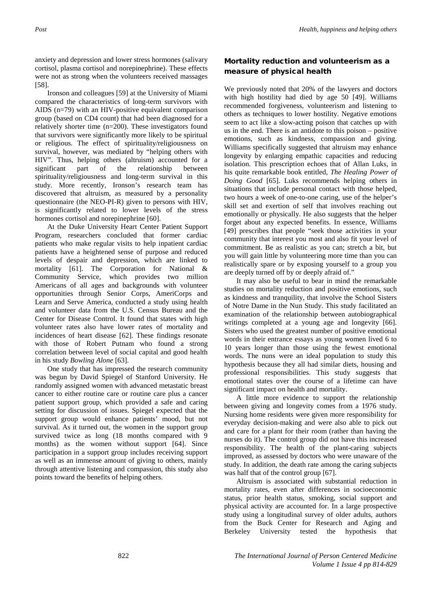anxiety and depression and lower stress hormones (salivary cortisol, plasma cortisol and norepinephrine). These effects were not as strong when the volunteers received massages [58].

Ironson and colleagues [59] at the University of Miami compared the characteristics of long-term survivors with AIDS (n=79) with an HIV-positive equivalent comparison group (based on CD4 count) that had been diagnosed for a relatively shorter time (n=200). These investigators found that survivors were significantly more likely to be spiritual or religious. The effect of spirituality/religiousness on survival, however, was mediated by "helping others with HIV". Thus, helping others (altruism) accounted for a significant part of the relationship between spirituality/religiousness and long-term survival in this study. More recently, Ironson's research team has discovered that altruism, as measured by a personality questionnaire (the NEO-PI-R) given to persons with HIV, is significantly related to lower levels of the stress hormones cortisol and norepinephrine [60].

At the Duke University Heart Center Patient Support Program, researchers concluded that former cardiac patients who make regular visits to help inpatient cardiac patients have a heightened sense of purpose and reduced levels of despair and depression, which are linked to mortality [61]. The Corporation for National & Community Service, which provides two million Americans of all ages and backgrounds with volunteer opportunities through Senior Corps, AmeriCorps and Learn and Serve America, conducted a study using health and volunteer data from the U.S. Census Bureau and the Center for Disease Control. It found that states with high volunteer rates also have lower rates of mortality and incidences of heart disease [62]. These findings resonate with those of Robert Putnam who found a strong correlation between level of social capital and good health in his study *Bowling Alone* [63].

One study that has impressed the research community was begun by David Spiegel of Stanford University. He randomly assigned women with advanced metastatic breast cancer to either routine care or routine care plus a cancer patient support group, which provided a safe and caring setting for discussion of issues. Spiegel expected that the support group would enhance patients' mood, but not survival. As it turned out, the women in the support group survived twice as long (18 months compared with 9 months) as the women without support [64]. Since participation in a support group includes receiving support as well as an immense amount of giving to others, mainly through attentive listening and compassion, this study also points toward the benefits of helping others.

### Mortality reduction and volunteerism as a measure of physical health

We previously noted that 20% of the lawyers and doctors with high hostility had died by age 50 [49]. Williams recommended forgiveness, volunteerism and listening to others as techniques to lower hostility. Negative emotions seem to act like a slow-acting poison that catches up with us in the end. There is an antidote to this poison – positive emotions, such as kindness, compassion and giving. Williams specifically suggested that altruism may enhance longevity by enlarging empathic capacities and reducing isolation. This prescription echoes that of Allan Luks, in his quite remarkable book entitled, *The Healing Power of Doing Good* [65]. Luks recommends helping others in situations that include personal contact with those helped, two hours a week of one-to-one caring, use of the helper's skill set and exertion of self that involves reaching out emotionally or physically. He also suggests that the helper forget about any expected benefits. In essence, Williams [49] prescribes that people "seek those activities in your community that interest you most and also fit your level of commitment. Be as realistic as you can; stretch a bit, but you will gain little by volunteering more time than you can realistically spare or by exposing yourself to a group you are deeply turned off by or deeply afraid of."

It may also be useful to bear in mind the remarkable studies on mortality reduction and positive emotions, such as kindness and tranquility, that involve the School Sisters of Notre Dame in the Nun Study. This study facilitated an examination of the relationship between autobiographical writings completed at a young age and longevity [66]. Sisters who used the greatest number of positive emotional words in their entrance essays as young women lived 6 to 10 years longer than those using the fewest emotional words. The nuns were an ideal population to study this hypothesis because they all had similar diets, housing and professional responsibilities. This study suggests that emotional states over the course of a lifetime can have significant impact on health and mortality.

A little more evidence to support the relationship between giving and longevity comes from a 1976 study. Nursing home residents were given more responsibility for everyday decision-making and were also able to pick out and care for a plant for their room (rather than having the nurses do it). The control group did not have this increased responsibility. The health of the plant-caring subjects improved, as assessed by doctors who were unaware of the study. In addition, the death rate among the caring subjects was half that of the control group [67].

Altruism is associated with substantial reduction in mortality rates, even after differences in socioeconomic status, prior health status, smoking, social support and physical activity are accounted for. In a large prospective study using a longitudinal survey of older adults, authors from the Buck Center for Research and Aging and Berkeley University tested the hypothesis that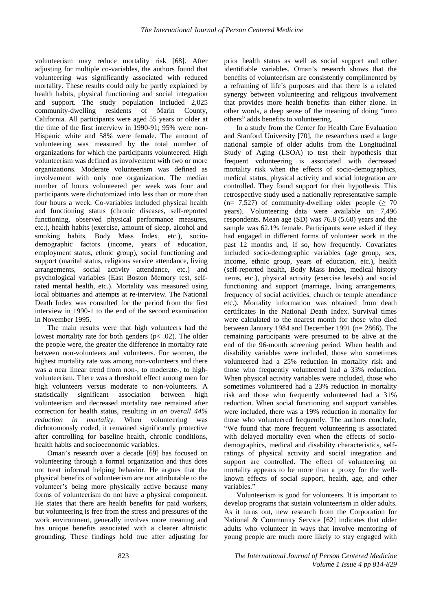volunteerism may reduce mortality risk [68]. After adjusting for multiple co-variables, the authors found that volunteering was significantly associated with reduced mortality. These results could only be partly explained by health habits, physical functioning and social integration and support. The study population included 2,025 community-dwelling residents of Marin County, California. All participants were aged 55 years or older at the time of the first interview in 1990-91; 95% were non-Hispanic white and 58% were female. The amount of volunteering was measured by the total number of organizations for which the participants volunteered. High volunteerism was defined as involvement with two or more organizations. Moderate volunteerism was defined as involvement with only one organization. The median number of hours volunteered per week was four and participants were dichotomized into less than or more than four hours a week*.* Co-variables included physical health and functioning status (chronic diseases, self-reported functioning, observed physical performance measures, etc.), health habits (exercise, amount of sleep, alcohol and smoking habits, Body Mass Index, etc.), sociodemographic factors (income, years of education, employment status, ethnic group), social functioning and support (marital status, religious service attendance, living arrangements, social activity attendance, etc.) and psychological variables (East Boston Memory test, selfrated mental health, etc.). Mortality was measured using local obituaries and attempts at re-interview. The National Death Index was consulted for the period from the first interview in 1990-1 to the end of the second examination in November 1995.

The main results were that high volunteers had the lowest mortality rate for both genders (p< .02). The older the people were, the greater the difference in mortality rate between non-volunteers and volunteers. For women, the highest mortality rate was among non-volunteers and there was a near linear trend from non-, to moderate-, to highvolunteerism. There was a threshold effect among men for high volunteers versus moderate to non-volunteers. A statistically significant association between high volunteerism and decreased mortality rate remained after correction for health status, resulting *in an overall 44% reduction in mortality.* When volunteering was dichotomously coded, it remained significantly protective after controlling for baseline health, chronic conditions, health habits and socioeconomic variables.

Oman's research over a decade [69] has focused on volunteering through a formal organization and thus does not treat informal helping behavior. He argues that the physical benefits of volunteerism are not attributable to the volunteer's being more physically active because many forms of volunteerism do not have a physical component. He states that there are health benefits for paid workers, but volunteering is free from the stress and pressures of the work environment, generally involves more meaning and has unique benefits associated with a clearer altruistic grounding. These findings hold true after adjusting for

prior health status as well as social support and other identifiable variables. Oman's research shows that the benefits of volunteerism are consistently complimented by a reframing of life's purposes and that there is a related synergy between volunteering and religious involvement that provides more health benefits than either alone. In other words, a deep sense of the meaning of doing "unto others" adds benefits to volunteering.

In a study from the Center for Health Care Evaluation and Stanford University [70], the researchers used a large national sample of older adults from the Longitudinal Study of Aging (LSOA) to test their hypothesis that frequent volunteering is associated with decreased mortality risk when the effects of socio-demographics, medical status, physical activity and social integration are controlled. They found support for their hypothesis. This retrospective study used a nationally representative sample (n= 7,527) of community-dwelling older people ( $\geq$  70 years). Volunteering data were available on 7,496 respondents. Mean age (SD) was 76.8 (5.60) years and the sample was 62.1% female. Participants were asked if they had engaged in different forms of volunteer work in the past 12 months and, if so, how frequently. Covariates included socio-demographic variables (age group, sex, income, ethnic group, years of education, etc.), health (self-reported health, Body Mass Index, medical history items, etc.), physical activity (exercise levels) and social functioning and support (marriage, living arrangements, frequency of social activities, church or temple attendance etc.). Mortality information was obtained from death certificates in the National Death Index. Survival times were calculated to the nearest month for those who died between January 1984 and December 1991 (n= 2866). The remaining participants were presumed to be alive at the end of the 96-month screening period. When health and disability variables were included, those who sometimes volunteered had a 25% reduction in mortality risk and those who frequently volunteered had a 33% reduction. When physical activity variables were included, those who sometimes volunteered had a 23% reduction in mortality risk and those who frequently volunteered had a 31% reduction. When social functioning and support variables were included, there was a 19% reduction in mortality for those who volunteered frequently. The authors conclude, "We found that more frequent volunteering is associated with delayed mortality even when the effects of sociodemographics, medical and disability characteristics, selfratings of physical activity and social integration and support are controlled. The effect of volunteering on mortality appears to be more than a proxy for the wellknown effects of social support, health, age, and other variables."

Volunteerism is good for volunteers. It is important to develop programs that sustain volunteerism in older adults. As it turns out, new research from the Corporation for National & Community Service [62] indicates that older adults who volunteer in ways that involve mentoring of young people are much more likely to stay engaged with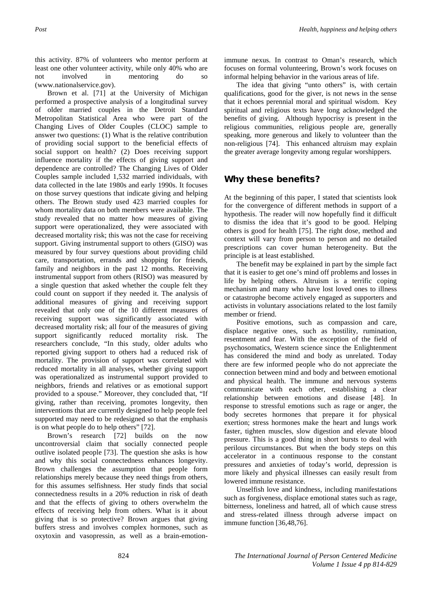this activity. 87% of volunteers who mentor perform at least one other volunteer activity, while only 40% who are not involved in mentoring do so [\(www.nationalservice.gov\)](http://www.nationalservice.gov/).

Brown et al. [71] at the University of Michigan performed a prospective analysis of a longitudinal survey of older married couples in the Detroit Standard Metropolitan Statistical Area who were part of the Changing Lives of Older Couples (CLOC) sample to answer two questions: (1) What is the relative contribution of providing social support to the beneficial effects of social support on health? (2) Does receiving support influence mortality if the effects of giving support and dependence are controlled? The Changing Lives of Older Couples sample included 1,532 married individuals, with data collected in the late 1980s and early 1990s. It focuses on those survey questions that indicate giving and helping others. The Brown study used 423 married couples for whom mortality data on both members were available. The study revealed that no matter how measures of giving support were operationalized, they were associated with decreased mortality risk; this was not the case for receiving support. Giving instrumental support to others (GISO) was measured by four survey questions about providing child care, transportation, errands and shopping for friends, family and neighbors in the past 12 months. Receiving instrumental support from others (RISO) was measured by a single question that asked whether the couple felt they could count on support if they needed it. The analysis of additional measures of giving and receiving support revealed that only one of the 10 different measures of receiving support was significantly associated with decreased mortality risk; all four of the measures of giving support significantly reduced mortality risk. The researchers conclude, "In this study, older adults who reported giving support to others had a reduced risk of mortality. The provision of support was correlated with reduced mortality in all analyses, whether giving support was operationalized as instrumental support provided to neighbors, friends and relatives or as emotional support provided to a spouse." Moreover, they concluded that, "If giving, rather than receiving, promotes longevity, then interventions that are currently designed to help people feel supported may need to be redesigned so that the emphasis is on what people do to help others" [72].

Brown's research [72] builds on the now uncontroversial claim that socially connected people outlive isolated people [73]. The question she asks is how and why this social connectedness enhances longevity. Brown challenges the assumption that people form relationships merely because they need things from others, for this assumes selfishness. Her study finds that social connectedness results in a 20% reduction in risk of death and that the effects of giving to others overwhelm the effects of receiving help from others. What is it about giving that is so protective? Brown argues that giving buffers stress and involves complex hormones, such as oxytoxin and vasopressin, as well as a brain-emotionimmune nexus. In contrast to Oman's research, which focuses on formal volunteering, Brown's work focuses on informal helping behavior in the various areas of life.

The idea that giving "unto others" is, with certain qualifications, good for the giver, is not news in the sense that it echoes perennial moral and spiritual wisdom. Key spiritual and religious texts have long acknowledged the benefits of giving. Although hypocrisy is present in the religious communities, religious people are, generally speaking, more generous and likely to volunteer than the non-religious [74]. This enhanced altruism may explain the greater average longevity among regular worshippers.

### Why these benefits?

At the beginning of this paper, I stated that scientists look for the convergence of different methods in support of a hypothesis. The reader will now hopefully find it difficult to dismiss the idea that it's good to be good. Helping others is good for health [75]. The right dose, method and context will vary from person to person and no detailed prescriptions can cover human heterogeneity. But the principle is at least established.

The benefit may be explained in part by the simple fact that it is easier to get one's mind off problems and losses in life by helping others. Altruism is a terrific coping mechanism and many who have lost loved ones to illness or catastrophe become actively engaged as supporters and activists in voluntary associations related to the lost family member or friend.

Positive emotions, such as compassion and care, displace negative ones, such as hostility, rumination, resentment and fear. With the exception of the field of psychosomatics, Western science since the Enlightenment has considered the mind and body as unrelated. Today there are few informed people who do not appreciate the connection between mind and body and between emotional and physical health. The immune and nervous systems communicate with each other, establishing a clear relationship between emotions and disease [48]. In response to stressful emotions such as rage or anger, the body secretes hormones that prepare it for physical exertion; stress hormones make the heart and lungs work faster, tighten muscles, slow digestion and elevate blood pressure. This is a good thing in short bursts to deal with perilous circumstances. But when the body steps on this accelerator in a continuous response to the constant pressures and anxieties of today's world, depression is more likely and physical illnesses can easily result from lowered immune resistance.

Unselfish love and kindness, including manifestations such as forgiveness, displace emotional states such as rage, bitterness, loneliness and hatred, all of which cause stress and stress-related illness through adverse impact on immune function [36,48,76].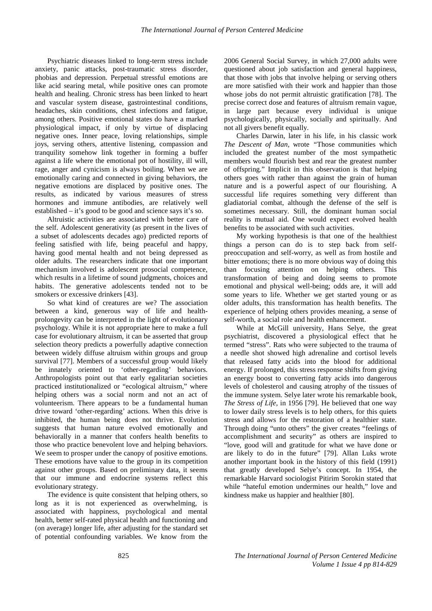Psychiatric diseases linked to long-term stress include anxiety, panic attacks, post-traumatic stress disorder, phobias and depression. Perpetual stressful emotions are like acid searing metal, while positive ones can promote health and healing. Chronic stress has been linked to heart and vascular system disease, gastrointestinal conditions, headaches, skin conditions, chest infections and fatigue, among others. Positive emotional states do have a marked physiological impact, if only by virtue of displacing negative ones. Inner peace, loving relationships, simple joys, serving others, attentive listening, compassion and tranquility somehow link together in forming a buffer against a life where the emotional pot of hostility, ill will, rage, anger and cynicism is always boiling. When we are emotionally caring and connected in giving behaviors, the negative emotions are displaced by positive ones. The results, as indicated by various measures of stress hormones and immune antibodies, are relatively well established – it's good to be good and science says it's so.

Altruistic activities are associated with better care of the self. Adolescent generativity (as present in the lives of a subset of adolescents decades ago) predicted reports of feeling satisfied with life, being peaceful and happy, having good mental health and not being depressed as older adults. The researchers indicate that one important mechanism involved is adolescent prosocial competence, which results in a lifetime of sound judgments, choices and habits. The generative adolescents tended not to be smokers or excessive drinkers [43].

So what kind of creatures are we? The association between a kind, generous way of life and healthprolongevity can be interpreted in the light of evolutionary psychology. While it is not appropriate here to make a full case for evolutionary altruism, it can be asserted that group selection theory predicts a powerfully adaptive connection between widely diffuse altruism within groups and group survival [77]. Members of a successful group would likely be innately oriented to 'other-regarding' behaviors. Anthropologists point out that early egalitarian societies practiced institutionalized or "ecological altruism," where helping others was a social norm and not an act of volunteerism. There appears to be a fundamental human drive toward 'other-regarding' actions. When this drive is inhibited, the human being does not thrive. Evolution suggests that human nature evolved emotionally and behaviorally in a manner that confers health benefits to those who practice benevolent love and helping behaviors. We seem to prosper under the canopy of positive emotions. These emotions have value to the group in its competition against other groups. Based on preliminary data, it seems that our immune and endocrine systems reflect this evolutionary strategy.

The evidence is quite consistent that helping others, so long as it is not experienced as overwhelming, is associated with happiness, psychological and mental health, better self-rated physical health and functioning and (on average) longer life, after adjusting for the standard set of potential confounding variables. We know from the

2006 General Social Survey, in which 27,000 adults were questioned about job satisfaction and general happiness, that those with jobs that involve helping or serving others are more satisfied with their work and happier than those whose jobs do not permit altruistic gratification [78]. The precise correct dose and features of altruism remain vague, in large part because every individual is unique psychologically, physically, socially and spiritually. And not all givers benefit equally.

Charles Darwin, later in his life, in his classic work *The Descent of Man,* wrote *"*Those communities which included the greatest number of the most sympathetic members would flourish best and rear the greatest number of offspring." Implicit in this observation is that helping others goes with rather than against the grain of human nature and is a powerful aspect of our flourishing. A successful life requires something very different than gladiatorial combat, although the defense of the self is sometimes necessary. Still, the dominant human social reality is mutual aid. One would expect evolved health benefits to be associated with such activities.

My working hypothesis is that one of the healthiest things a person can do is to step back from selfpreoccupation and self-worry, as well as from hostile and bitter emotions; there is no more obvious way of doing this than focusing attention on helping others. This transformation of being and doing seems to promote emotional and physical well-being; odds are, it will add some years to life. Whether we get started young or as older adults, this transformation has health benefits. The experience of helping others provides meaning, a sense of self-worth, a social role and health enhancement.

While at McGill university, Hans Selye, the great psychiatrist, discovered a physiological effect that he termed "stress". Rats who were subjected to the trauma of a needle shot showed high adrenaline and cortisol levels that released fatty acids into the blood for additional energy. If prolonged, this stress response shifts from giving an energy boost to converting fatty acids into dangerous levels of cholesterol and causing atrophy of the tissues of the immune system. Selye later wrote his remarkable book, *The Stress of Life,* in 1956 [79]. He believed that one way to lower daily stress levels is to help others, for this quiets stress and allows for the restoration of a healthier state. Through doing "unto others" the giver creates "feelings of accomplishment and security" as others are inspired to "love, good will and gratitude for what we have done or are likely to do in the future" [79]. Allan Luks wrote another important book in the history of this field (1991) that greatly developed Selye's concept. In 1954, the remarkable Harvard sociologist Pitirim Sorokin stated that while "hateful emotion undermines our health," love and kindness make us happier and healthier [80].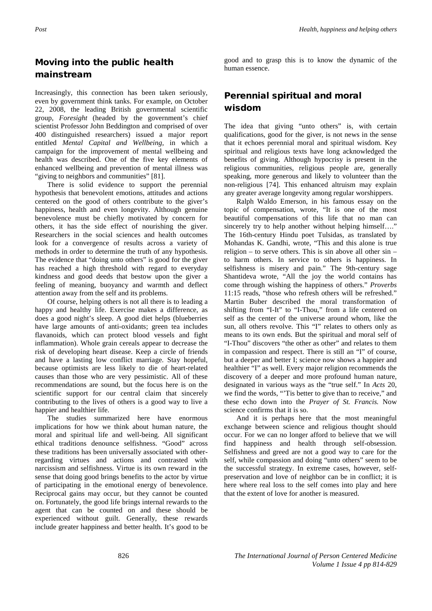## Moving into the public health mainstream

Increasingly, this connection has been taken seriously, even by government think tanks. For example, on October 22, 2008, the leading British governmental scientific group, *Foresight* (headed by the government's chief scientist Professor John Beddington and comprised of over 400 distinguished researchers) issued a major report entitled *Mental Capital and Wellbeing,* in which a campaign for the improvement of mental wellbeing and health was described. One of the five key elements of enhanced wellbeing and prevention of mental illness was "giving to neighbors and communities" [81].

There is solid evidence to support the perennial hypothesis that benevolent emotions, attitudes and actions centered on the good of others contribute to the giver's happiness, health and even longevity. Although genuine benevolence must be chiefly motivated by concern for others, it has the side effect of nourishing the giver. Researchers in the social sciences and health outcomes look for a convergence of results across a variety of methods in order to determine the truth of any hypothesis. The evidence that "doing unto others" is good for the giver has reached a high threshold with regard to everyday kindness and good deeds that bestow upon the giver a feeling of meaning, buoyancy and warmth and deflect attention away from the self and its problems.

Of course, helping others is not all there is to leading a happy and healthy life. Exercise makes a difference, as does a good night's sleep. A good diet helps (blueberries have large amounts of anti-oxidants; green tea includes flavanoids, which can protect blood vessels and fight inflammation). Whole grain cereals appear to decrease the risk of developing heart disease. Keep a circle of friends and have a lasting low conflict marriage. Stay hopeful, because optimists are less likely to die of heart-related causes than those who are very pessimistic. All of these recommendations are sound, but the focus here is on the scientific support for our central claim that sincerely contributing to the lives of others is a good way to live a happier and healthier life.

The studies summarized here have enormous implications for how we think about human nature, the moral and spiritual life and well-being. All significant ethical traditions denounce selfishness. "Good" across these traditions has been universally associated with otherregarding virtues and actions and contrasted with narcissism and selfishness. Virtue is its own reward in the sense that doing good brings benefits to the actor by virtue of participating in the emotional energy of benevolence. Reciprocal gains may occur, but they cannot be counted on. Fortunately, the good life brings internal rewards to the agent that can be counted on and these should be experienced without guilt. Generally, these rewards include greater happiness and better health. It's good to be

good and to grasp this is to know the dynamic of the human essence.

## Perennial spiritual and moral wisdom

The idea that giving "unto others" is, with certain qualifications, good for the giver, is not news in the sense that it echoes perennial moral and spiritual wisdom. Key spiritual and religious texts have long acknowledged the benefits of giving. Although hypocrisy is present in the religious communities, religious people are, generally speaking, more generous and likely to volunteer than the non-religious [74]. This enhanced altruism may explain any greater average longevity among regular worshippers.

Ralph Waldo Emerson, in his famous essay on the topic of compensation, wrote, "It is one of the most beautiful compensations of this life that no man can sincerely try to help another without helping himself...." The 16th-century Hindu poet Tulsidas, as translated by Mohandas K. Gandhi, wrote, "This and this alone is true religion – to serve others. This is sin above all other sin – to harm others. In service to others is happiness. In selfishness is misery and pain." The 9th-century sage Shantideva wrote, "All the joy the world contains has come through wishing the happiness of others." *Proverbs* 11:15 reads, "those who refresh others will be refreshed." Martin Buber described the moral transformation of shifting from "I-It" to "I-Thou," from a life centered on self as the center of the universe around whom, like the sun, all others revolve. This "I" relates to others only as means to its own ends. But the spiritual and moral self of "I-Thou" discovers "the other as other" and relates to them in compassion and respect. There is still an "I" of course, but a deeper and better I; science now shows a happier and healthier "I" as well. Every major religion recommends the discovery of a deeper and more profound human nature, designated in various ways as the "true self." In *Acts* 20, we find the words, "'Tis better to give than to receive," and these echo down into the *Prayer of St. Francis.* Now science confirms that it is so.

And it is perhaps here that the most meaningful exchange between science and religious thought should occur. For we can no longer afford to believe that we will find happiness and health through self-obsession. Selfishness and greed are not a good way to care for the self, while compassion and doing "unto others" seem to be the successful strategy. In extreme cases, however, selfpreservation and love of neighbor can be in conflict; it is here where real loss to the self comes into play and here that the extent of love for another is measured.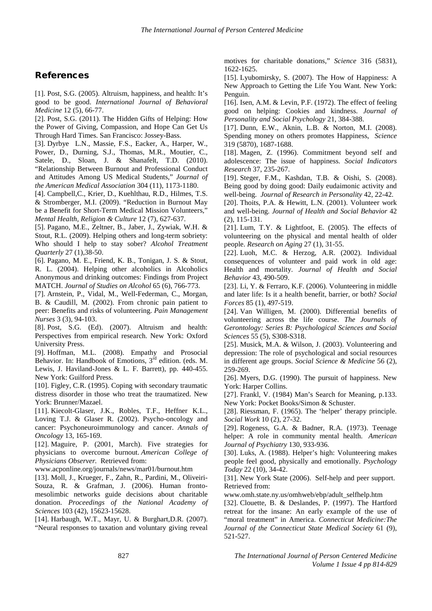### References

[1]. Post, S.G. (2005). Altruism, happiness, and health: It's good to be good. *International Journal of Behavioral Medicine* 12 (5), 66-77.

[2]. Post, S.G. (2011). The Hidden Gifts of Helping: How the Power of Giving, Compassion, and Hope Can Get Us Through Hard Times. San Francisco: Jossey-Bass.

[3]. Dyrbye L.N., Massie, F.S., Eacker, A., Harper, W., Power, D., Durning, S.J., Thomas, M.R., Moutier, C., Satele, D., Sloan, J. & Shanafelt, T.D. (2010). "Relationship Between Burnout and Professional Conduct and Attitudes Among US Medical Students," *Journal of the American Medical Association* 304 (11), 1173-1180.

[4]. Campbell,C., Krier, D., Kuehlthau, R.D., Hilmes, T.S. & Stromberger, M.I. (2009). "Reduction in Burnout May be a Benefit for Short-Term Medical Mission Volunteers," *Mental Health, Religion & Culture* 12 (7), 627-637.

[5]. Pagano, M.E., Zeltner, B., Jaber, J., Zywiak, W.H. & Stout, R.L. (2009). Helping others and long-term sobriety: Who should I help to stay sober? *Alcohol Treatment Quarterly* 27 (1),38-50.

[6]. Pagano, M. E., Friend, K. B., Tonigan, J. S. & Stout, R. L. (2004). Helping other alcoholics in Alcoholics Anonymous and drinking outcomes: Findings from Project MATCH. *Journal of Studies on Alcohol* 65 (6), 766-773.

[7]. Arnstein, P., Vidal, M., Well-Federman, C., Morgan, B. & Caudill, M. (2002). From chronic pain patient to peer: Benefits and risks of volunteering. *Pain Management Nurses* 3 (3), 94-103.

[8]. Post, S.G. (Ed). (2007). Altruism and health: Perspectives from empirical research. New York: Oxford University Press.

[9]. Hoffman, M.L. (2008). Empathy and Prosocial Behavior. In: Handbook of Emotions,  $3<sup>rd</sup>$  edition. (eds. M. Lewis, J. Haviland-Jones & L. F. Barrett), pp. 440-455. New York: Guilford Press.

[10]. Figley, C.R. (1995). Coping with secondary traumatic distress disorder in those who treat the traumatized. New York: Brunner/Mazael.

[11]. Kiecolt-Glaser, J.K., Robles, T.F., Heffner K.L., Loving T.J. & Glaser R. (2002). Psycho-oncology and cancer: Psychoneuroimmunology and cancer. *Annals of Oncology* 13, 165-169.

[12]. Maguire, P. (2001, March). Five strategies for physicians to overcome burnout. *American College of Physicians Observer.* Retrieved from:

[www.acponline.org/journals/news/mar01/burnout.htm](http://www.acponline.org/journals/news/mar01/burnout.htm)

[13]. Moll, J., Krueger, F., Zahn, R., Pardini, M., Oliveiri-Souza, R. & Grafman, J. (2006). Human frontomesolimbic networks guide decisions about charitable donation. *Proceedings of the National Academy of Sciences* 103 (42), 15623-15628.

[14]. Harbaugh, W.T., Mayr, U. & Burghart,D.R. (2007). "Neural responses to taxation and voluntary giving reveal motives for charitable donations," *Science* 316 (5831)*,* 1622-1625.

[15]. Lyubomirsky, S. (2007). The How of Happiness: A New Approach to Getting the Life You Want*.* New York: Penguin.

[16]. Isen, A.M. & Levin, P.F. (1972). The effect of feeling good on helping: Cookies and kindness. *Journal of Personality and Social Psychology* 21, 384-388.

[17]. Dunn, E.W., Aknin, L.B. & Norton, M.I. (2008). Spending money on others promotes Happiness, *Science* 319 (5870), 1687-1688.

[18]. Magen, Z. (1996). Commitment beyond self and adolescence: The issue of happiness. *Social Indicators Research* 37, 235-267.

[19]. Steger, F.M., Kashdan, T.B. & Oishi, S. (2008). Being good by doing good: Daily eudaimonic activity and well-being. *Journal of Research in Personality* 42, 22-42.

[20]. Thoits, P.A. & Hewitt, L.N. (2001). Volunteer work and well-being. *Journal of Health and Social Behavior* 42 (2), 115-131.

[21]. Lum, T.Y.  $\&$  Lightfoot, E. (2005). The effects of volunteering on the physical and mental health of older people. *Research on Aging* 27 (1), 31-55.

[22]. Luoh, M.C. & Herzog, A.R. (2002). Individual consequences of volunteer and paid work in old age: Health and mortality. *Journal of Health and Social Behavior* 43, 490-509.

[23]. Li, Y. & Ferraro, K.F. (2006). Volunteering in middle and later life: Is it a health benefit, barrier, or both? *Social Forces* 85 (1), 497-519.

[24]. Van Willigen, M. (2000). Differential benefits of volunteering across the life course. *The Journals of Gerontology: Series B: Psychological Sciences and Social Sciences* 55 (5), S308-S318.

[25]. Musick, M.A. & Wilson, J. (2003). Volunteering and depression: The role of psychological and social resources in different age groups. *Social Science & Medicine* 56 (2), 259-269.

[26]. Myers, D.G. (1990). The pursuit of happiness. New York: Harper Collins.

[27]. Frankl, V. (1984) Man's Search for Meaning, p.133. New York: Pocket Books/Simon & Schuster.

[28]. Riessman, F. (1965). The 'helper' therapy principle. *Social Work* 10 (2), 27-32.

[29]. Rogeness, G.A. & Badner, R.A. (1973). Teenage helper: A role in community mental health. *American Journal of Psychiatry* 130, 933-936.

[30]. Luks, A. (1988). Helper's high: Volunteering makes people feel good, physically and emotionally. *Psychology Today* 22 (10), 34-42.

[31]. New York State (2006). Self-help and peer support. Retrieved from:

[www.omh.state.ny.us/omhweb/ebp/adult\\_selfhelp.htm](http://www.omh.state.ny.us/omhweb/ebp/adult_selfhelp.htm)

[32]. Clouette, B. & Deslandes, P. (1997). The Hartford retreat for the insane: An early example of the use of "moral treatment" in America. *Connecticut Medicine:The Journal of the Connecticut State Medical Society* 61 (9), 521-527.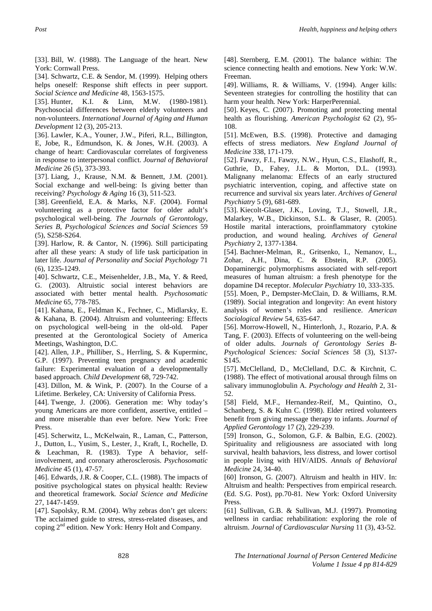[33]. Bill, W. (1988). The Language of the heart. New York: Cornwall Press.

[34]. Schwartz, C.E. & Sendor, M. (1999). Helping others helps oneself: Response shift effects in peer support. *Social Science and Medicine* 48*,* 1563-1575.

[35]. Hunter, K.I. & Linn, M.W. (1980-1981). Psychosocial differences between elderly volunteers and non-volunteers. *International Journal of Aging and Human Development* 12 (3), 205-213.

[36]. Lawler, K.A., Youner, J.W., Piferi, R.L., Billington, E, Jobe, R., Edmundson, K. & Jones, W.H. (2003). A change of heart: Cardiovascular correlates of forgiveness in response to interpersonal conflict. *Journal of Behavioral Medicine* 26 (5), 373-393.

[37]. Liang, J., Krause, N.M. & Bennett, J.M. (2001). Social exchange and well-being: Is giving better than receiving? *Psychology & Aging* 16 (3), 511-523.

[38]. Greenfield, E.A. & Marks, N.F. (2004). Formal volunteering as a protective factor for older adult's psychological well-being. *The Journals of Gerontology*, *Series B, Psychological Sciences and Social Sciences* 59 (5), S258-S264.

[39]. Harlow, R. & Cantor, N. (1996). Still participating after all these years: A study of life task participation in later life. *Journal of Personality and Social Psychology* 71 (6), 1235-1249.

[40]. Schwartz, C.E., Meisenhelder, J.B., Ma, Y. & Reed, G. (2003). Altruistic social interest behaviors are associated with better mental health. *Psychosomatic Medicine* 65, 778-785.

[41]. Kahana, E., Feldman K., Fechner, C., Midlarsky, E. & Kahana, B. (2004). Altruism and volunteering: Effects on psychological well-being in the old-old*.* Paper presented at the Gerontological Society of America Meetings, Washington, D.C.

[42]. Allen, J.P., Philliber, S., Herrling, S. & Kuperminc, G.P. (1997). Preventing teen pregnancy and academic failure: Experimental evaluation of a developmentally based approach. *Child Development* 68, 729-742.

[43]. Dillon, M. & Wink, P. (2007). In the Course of a Lifetime. Berkeley, CA: University of California Press.

[44]. Twenge, J. (2006). Generation me: Why today's young Americans are more confident, assertive, entitled – and more miserable than ever before*.* New York: Free Press.

[45]. Scherwitz, L., McKelwain, R., Laman, C., Patterson, J., Dutton, L., Yusim, S., Lester, J., Kraft, I., Rochelle, D. & Leachman, R. (1983). Type A behavior, selfinvolvement, and coronary atherosclerosis. *Psychosomatic Medicine* 45 (1), 47-57.

[46]. Edwards, J.R. & Cooper, C.L. (1988). The impacts of positive psychological states on physical health: Review and theoretical framework*. Social Science and Medicine* 27, 1447-1459.

[47]. Sapolsky, R.M. (2004). Why zebras don't get ulcers: The acclaimed guide to stress, stress-related diseases, and coping  $2<sup>nd</sup>$  edition. New York: Henry Holt and Company.

[48]. Sternberg, E.M. (2001). The balance within: The science connecting health and emotions. New York: W.W. Freeman.

[49]. Williams, R. & Williams, V. (1994). Anger kills: Seventeen strategies for controlling the hostility that can harm your health. New York: HarperPerennial.

[50]. Keyes, C. (2007). Promoting and protecting mental health as flourishing. *American Psychologist* 62 (2), 95- 108.

[51]. McEwen, B.S. (1998). Protective and damaging effects of stress mediators. *New England Journal of Medicine* 338, 171-179.

[52]. Fawzy, F.I., Fawzy, N.W., Hyun, C.S., Elashoff, R., Guthrie, D., Fahey, J.L. & Morton, D.L. (1993). Malignany melanoma: Effects of an early structured psychiatric intervention, coping, and affective state on recurrence and survival six years later. *Archives of General Psychiatry* 5 (9), 681-689.

[53]. Kiecolt-Glaser, J.K., Loving, T.J., Stowell, J.R., Malarkey, W.B., Dickinson, S.L. & Glaser, R. (2005). Hostile marital interactions, proinflammatory cytokine production, and wound healing. *Archives of General Psychiatry* 2, 1377-1384.

[54]. Bachner-Melman, R., Gritsenko, I., Nemanov, L., Zohar, A.H., Dina, C. & Ebstein, R.P. (2005). Dopaminergic polymorphisms associated with self-report measures of human altruism: a fresh phenotype for the dopamine D4 receptor. *Molecular Psychiatry* 10, 333-335.

[55]. Moen, P., Dempster-McClain, D. & Williams, R.M. (1989). Social integration and longevity: An event history analysis of women's roles and resilience. *American Sociological Review* 54*,* 635-647.

[56]. Morrow-Howell, N., Hinterlonh, J., Rozario, P.A. & Tang, F. (2003). Effects of volunteering on the well-being of older adults. *Journals of Gerontology Series B-Psychological Sciences: Social Sciences* 58 (3), S137- S145.

[57]. McClelland, D., McClelland, D.C. & Kirchnit, C. (1988). The effect of motivational arousal through films on salivary immunoglobulin A. *Psychology and Health* 2, 31- 52.

[58] Field, M.F., Hernandez-Reif, M., Quintino, O., Schanberg, S. & Kuhn C. (1998). Elder retired volunteers benefit from giving message therapy to infants. *Journal of Applied Gerontology* 17 (2), 229-239.

[59] Ironson, G., Solomon, G.F. & Balbin, E.G. (2002). Spirituality and religiousness are associated with long survival, health bahaviors, less distress, and lower cortisol in people living with HIV/AIDS. *Annals of Behavioral Medicine* 24, 34-40.

[60] Ironson, G. (2007). Altruism and health in HIV. In: Altruism and health: Perspectives from empirical research. (Ed. S.G. Post), pp.70-81*.* New York: Oxford University Press.

[61] Sullivan, G.B. & Sullivan, M.J. (1997). Promoting wellness in cardiac rehabilitation: exploring the role of altruism. *Journal of Cardiovascular Nursing* 11 (3), 43-52.